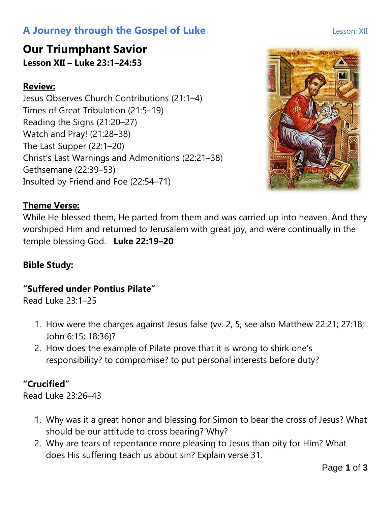# **A Journey through the Gospel of Luke Lesson: XII**

# **Our Triumphant Savior Lesson XII – Luke 23:1–24:53**

### **Review:**

Jesus Observes Church Contributions (21:1–4) Times of Great Tribulation (21:5–19) Reading the Signs (21:20–27) Watch and Pray! (21:28–38) The Last Supper (22:1–20) Christ's Last Warnings and Admonitions (22:21–38) Gethsemane (22:39–53) Insulted by Friend and Foe (22:54–71)

## **Theme Verse:**

While He blessed them, He parted from them and was carried up into heaven. And they worshiped Him and returned to Jerusalem with great joy, and were continually in the temple blessing God. **Luke 22:19–20**

#### **Bible Study:**

#### **"Suffered under Pontius Pilate"**

Read Luke 23:1–25

- 1. How were the charges against Jesus false (vv. 2, 5; see also Matthew 22:21; 27:18; John 6:15; 18:36)?
- 2. How does the example of Pilate prove that it is wrong to shirk one's responsibility? to compromise? to put personal interests before duty?

## **"Crucified"**

Read Luke 23:26–43

- 1. Why was it a great honor and blessing for Simon to bear the cross of Jesus? What should be our attitude to cross bearing? Why?
- 2. Why are tears of repentance more pleasing to Jesus than pity for Him? What does His suffering teach us about sin? Explain verse 31.

Page **1** of **3**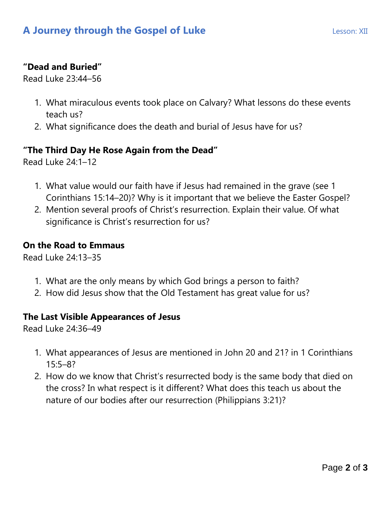#### **"Dead and Buried"**

Read Luke 23:44–56

- 1. What miraculous events took place on Calvary? What lessons do these events teach us?
- 2. What significance does the death and burial of Jesus have for us?

#### **"The Third Day He Rose Again from the Dead"**

Read Luke 24:1–12

- 1. What value would our faith have if Jesus had remained in the grave (see 1 Corinthians 15:14–20)? Why is it important that we believe the Easter Gospel?
- 2. Mention several proofs of Christ's resurrection. Explain their value. Of what significance is Christ's resurrection for us?

#### **On the Road to Emmaus**

Read Luke 24:13–35

- 1. What are the only means by which God brings a person to faith?
- 2. How did Jesus show that the Old Testament has great value for us?

#### **The Last Visible Appearances of Jesus**

Read Luke 24:36–49

- 1. What appearances of Jesus are mentioned in John 20 and 21? in 1 Corinthians  $15:5-8?$
- 2. How do we know that Christ's resurrected body is the same body that died on the cross? In what respect is it different? What does this teach us about the nature of our bodies after our resurrection (Philippians 3:21)?